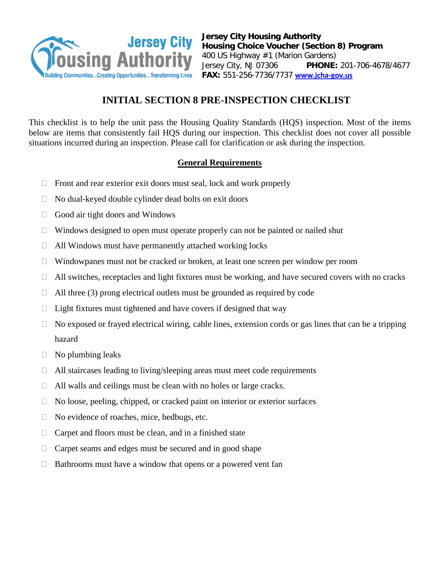

**Jersey City Housing Authority Housing Choice Voucher (Section 8) Program** 400 US Highway #1 (Marion Gardens) Jersey City, NJ 07306 **PHONE:** 201-706-4678/4677 **FAX:** 551-256-7736/7737 **[www.jcha-gov.us](http://www.jcha-gov.us/)** 

# **INITIAL SECTION 8 PRE-INSPECTION CHECKLIST**

This checklist is to help the unit pass the Housing Quality Standards (HQS) inspection. Most of the items below are items that consistently fail HQS during our inspection. This checklist does not cover all possible situations incurred during an inspection. Please call for clarification or ask during the inspection.

## **General Requirements**

- $\Box$  Front and rear exterior exit doors must seal, lock and work properly
- $\Box$  No dual-keyed double cylinder dead bolts on exit doors
- $\Box$  Good air tight doors and Windows
- $\Box$  Windows designed to open must operate properly can not be painted or nailed shut
- $\Box$  All Windows must have permanently attached working locks
- $\Box$  Windowpanes must not be cracked or broken, at least one screen per window per room
- $\Box$  All switches, receptacles and light fixtures must be working, and have secured covers with no cracks
- $\Box$  All three (3) prong electrical outlets must be grounded as required by code
- $\Box$  Light fixtures must tightened and have covers if designed that way
- $\Box$  No exposed or frayed electrical wiring, cable lines, extension cords or gas lines that can be a tripping hazard
- $\Box$  No plumbing leaks
- $\Box$  All staircases leading to living/sleeping areas must meet code requirements
- $\Box$  All walls and ceilings must be clean with no holes or large cracks.
- $\Box$  No loose, peeling, chipped, or cracked paint on interior or exterior surfaces
- $\Box$  No evidence of roaches, mice, bedbugs, etc.
- $\Box$  Carpet and floors must be clean, and in a finished state
- $\Box$  Carpet seams and edges must be secured and in good shape
- $\Box$  Bathrooms must have a window that opens or a powered vent fan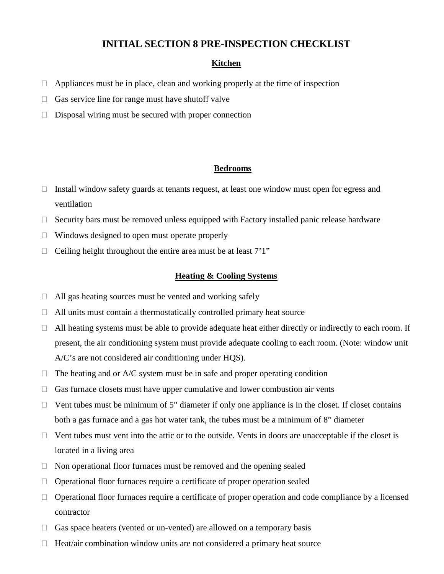### **INITIAL SECTION 8 PRE-INSPECTION CHECKLIST**

### **Kitchen**

- $\Box$  Appliances must be in place, clean and working properly at the time of inspection
- $\Box$  Gas service line for range must have shutoff valve
- $\Box$  Disposal wiring must be secured with proper connection

#### **Bedrooms**

- $\Box$  Install window safety guards at tenants request, at least one window must open for egress and ventilation
- $\Box$  Security bars must be removed unless equipped with Factory installed panic release hardware
- $\Box$  Windows designed to open must operate properly
- $\Box$  Ceiling height throughout the entire area must be at least  $7'1''$

#### **Heating & Cooling Systems**

- $\Box$  All gas heating sources must be vented and working safely
- $\Box$  All units must contain a thermostatically controlled primary heat source
- $\Box$  All heating systems must be able to provide adequate heat either directly or indirectly to each room. If present, the air conditioning system must provide adequate cooling to each room. (Note: window unit A/C's are not considered air conditioning under HQS).
- $\Box$  The heating and or A/C system must be in safe and proper operating condition
- $\Box$  Gas furnace closets must have upper cumulative and lower combustion air vents
- $\Box$  Vent tubes must be minimum of 5" diameter if only one appliance is in the closet. If closet contains both a gas furnace and a gas hot water tank, the tubes must be a minimum of 8" diameter
- $\Box$  Vent tubes must vent into the attic or to the outside. Vents in doors are unacceptable if the closet is located in a living area
- $\Box$  Non operational floor furnaces must be removed and the opening sealed
- $\Box$  Operational floor furnaces require a certificate of proper operation sealed
- $\Box$  Operational floor furnaces require a certificate of proper operation and code compliance by a licensed contractor
- $\Box$  Gas space heaters (vented or un-vented) are allowed on a temporary basis
- $\Box$  Heat/air combination window units are not considered a primary heat source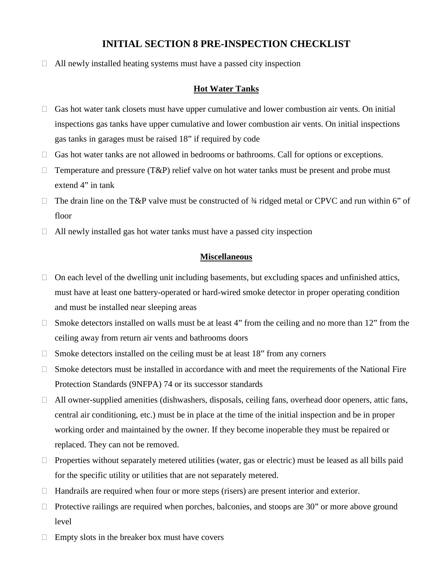# **INITIAL SECTION 8 PRE-INSPECTION CHECKLIST**

 $\Box$  All newly installed heating systems must have a passed city inspection

### **Hot Water Tanks**

- $\Box$  Gas hot water tank closets must have upper cumulative and lower combustion air vents. On initial inspections gas tanks have upper cumulative and lower combustion air vents. On initial inspections gas tanks in garages must be raised 18" if required by code
- $\Box$  Gas hot water tanks are not allowed in bedrooms or bathrooms. Call for options or exceptions.
- $\Box$  Temperature and pressure (T&P) relief valve on hot water tanks must be present and probe must extend 4" in tank
- $\Box$  The drain line on the T&P valve must be constructed of 3/4 ridged metal or CPVC and run within 6" of floor
- $\Box$  All newly installed gas hot water tanks must have a passed city inspection

### **Miscellaneous**

- $\Box$  On each level of the dwelling unit including basements, but excluding spaces and unfinished attics, must have at least one battery-operated or hard-wired smoke detector in proper operating condition and must be installed near sleeping areas
- $\Box$  Smoke detectors installed on walls must be at least 4" from the ceiling and no more than 12" from the ceiling away from return air vents and bathrooms doors
- $\Box$  Smoke detectors installed on the ceiling must be at least 18" from any corners
- $\Box$  Smoke detectors must be installed in accordance with and meet the requirements of the National Fire Protection Standards (9NFPA) 74 or its successor standards
- $\Box$  All owner-supplied amenities (dishwashers, disposals, ceiling fans, overhead door openers, attic fans, central air conditioning, etc.) must be in place at the time of the initial inspection and be in proper working order and maintained by the owner. If they become inoperable they must be repaired or replaced. They can not be removed.
- $\Box$  Properties without separately metered utilities (water, gas or electric) must be leased as all bills paid for the specific utility or utilities that are not separately metered.
- $\Box$  Handrails are required when four or more steps (risers) are present interior and exterior.
- $\Box$  Protective railings are required when porches, balconies, and stoops are 30" or more above ground level
- $\Box$  Empty slots in the breaker box must have covers